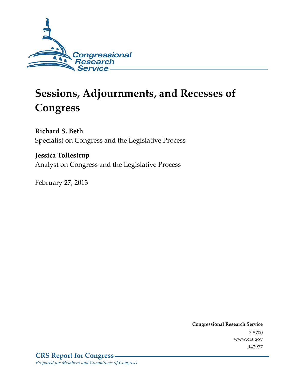

# **Sessions, Adjournments, and Recesses of Congress**

**Richard S. Beth**  Specialist on Congress and the Legislative Process

**Jessica Tollestrup**  Analyst on Congress and the Legislative Process

February 27, 2013

**Congressional Research Service**  7-5700 www.crs.gov R42977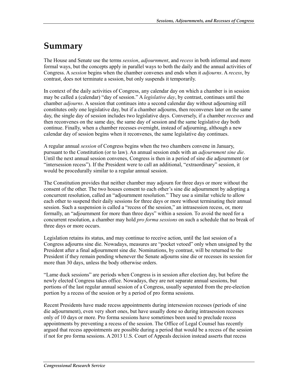## **Summary**

The House and Senate use the terms *session*, *adjournment*, and *recess* in both informal and more formal ways, but the concepts apply in parallel ways to both the daily and the annual activities of Congress. A *session* begins when the chamber convenes and ends when it *adjourns*. A *recess*, by contrast, does not terminate a session, but only suspends it temporarily.

In context of the daily activities of Congress, any calendar day on which a chamber is in session may be called a (calendar) "day of session." A *legislative day*, by contrast, continues until the chamber *adjourns*. A session that continues into a second calendar day without adjourning still constitutes only one legislative day, but if a chamber adjourns, then reconvenes later on the same day, the single day of session includes two legislative days. Conversely, if a chamber *recesses* and then reconvenes on the same day, the same day of session and the same legislative day both continue. Finally, when a chamber recesses overnight, instead of adjourning, although a new calendar day of session begins when it reconvenes, the same legislative day continues.

A regular annual *session* of Congress begins when the two chambers convene in January, pursuant to the Constitution (or to law). An annual session ends with an *adjournment sine die*. Until the next annual session convenes, Congress is then in a period of sine die adjournment (or "intersession recess"). If the President were to call an additional, "extraordinary" session, it would be procedurally similar to a regular annual session.

The Constitution provides that neither chamber may adjourn for three days or more without the consent of the other. The two houses consent to each other's sine die adjournment by adopting a concurrent resolution, called an "adjournment resolution." They use a similar vehicle to allow each other to suspend their daily sessions for three days or more without terminating their annual session. Such a suspension is called a "recess of the session," an intrasession recess, or, more formally, an "adjournment for more than three days" within a session. To avoid the need for a concurrent resolution, a chamber may hold *pro forma sessions* on such a schedule that no break of three days or more occurs.

Legislation retains its status, and may continue to receive action, until the last session of a Congress adjourns sine die. Nowadays, measures are "pocket vetoed" only when unsigned by the President after a final adjournment sine die. Nominations, by contrast, will be returned to the President if they remain pending whenever the Senate adjourns sine die or recesses its session for more than 30 days, unless the body otherwise orders.

"Lame duck sessions" are periods when Congress is in session after election day, but before the newly elected Congress takes office. Nowadays, they are not separate annual sessions, but portions of the last regular annual session of a Congress, usually separated from the pre-election portion by a recess of the session or by a period of pro forma sessions.

Recent Presidents have made recess appointments during intersession recesses (periods of sine die adjournment), even very short ones, but have usually done so during intrasession recesses only of 10 days or more. Pro forma sessions have sometimes been used to preclude recess appointments by preventing a recess of the session. The Office of Legal Counsel has recently argued that recess appointments are possible during a period that would be a recess of the session if not for pro forma sessions. A 2013 U.S. Court of Appeals decision instead asserts that recess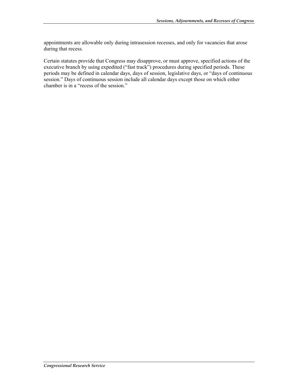appointments are allowable only during intrasession recesses, and only for vacancies that arose during that recess.

Certain statutes provide that Congress may disapprove, or must approve, specified actions of the executive branch by using expedited ("fast track") procedures during specified periods. These periods may be defined in calendar days, days of session, legislative days, or "days of continuous session." Days of continuous session include all calendar days except those on which either chamber is in a "recess of the session."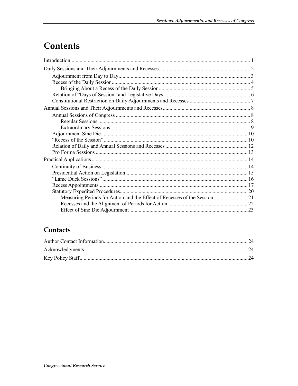## Contents

### Contacts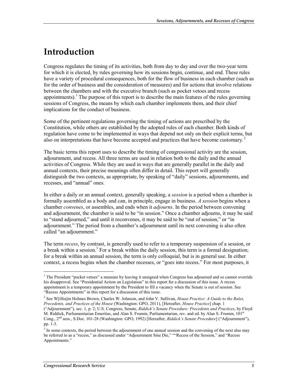## **Introduction**

Congress regulates the timing of its activities, both from day to day and over the two-year term for which it is elected, by rules governing how its sessions begin, continue, and end. These rules have a variety of procedural consequences, both for the flow of business in each chamber (such as for the order of business and the consideration of measures) and for actions that involve relations between the chambers and with the executive branch (such as pocket vetoes and recess appointments).<sup>1</sup> The purpose of this report is to describe the main features of the rules governing sessions of Congress, the means by which each chamber implements them, and their chief implications for the conduct of business.

Some of the pertinent regulations governing the timing of actions are prescribed by the Constitution, while others are established by the adopted rules of each chamber. Both kinds of regulation have come to be implemented in ways that depend not only on their explicit terms, but also on interpretations that have become accepted and practices that have become customary.

The basic terms this report uses to describe the timing of congressional activity are the session, adjournment, and recess. All three terms are used in relation both to the daily and the annual activities of Congress. While they are used in ways that are generally parallel in the daily and annual contexts, their precise meanings often differ in detail. This report will generally distinguish the two contexts, as appropriate, by speaking of "daily" sessions, adjournments, and recesses, and "annual" ones.

In either a daily or an annual context, generally speaking, a *session* is a period when a chamber is formally assembled as a body and can, in principle, engage in business. *A session* begins when a chamber *convenes*, or assembles, and ends when it *adjourns*. In the period between convening and adjournment, the chamber is said to be "in session." Once a chamber adjourns, it may be said to "stand adjourned," and until it reconvenes, it may be said to be "out of session," or "in adjournment." The period from a chamber's adjournment until its next convening is also often called "an adjournment."

The term *recess*, by contrast, is generally used to refer to a temporary suspension of a session, or a break within a session.<sup>3</sup> For a break within the daily session, this term is a formal designation; for a break within an annual session, the term is only colloquial, but is in general use. In either context, a recess begins when the chamber recesses, or "goes into recess." For most purposes, it

2 See W[illia]m Holmes Brown, Charles W. Johnson, and John V. Sullivan, *House Practice: A Guide to the Rules, Precedents, and Practices of the House* (Washington: GPO, 2011), [Hereafter, *House Practice*] chap. 1 ("Adjournment"), sec. 1, p. 2; U.S. Congress, Senate, *Riddick's Senate Procedure: Precedents and Practices*, by Floyd M. Riddick, Parliamentarian Emeritus, and Alan S. Frumin, Parliamentarian, rev. and ed. by Alan S. Frumin, 101<sup>st</sup> Cong., 2nd sess., S.Doc. 101-28 (Washington: GPO, 1992) [Hereafter, *Riddick's Senate Procedure*] ("Adjournment"), pp. 1-3.

<sup>&</sup>lt;u>.</u> <sup>1</sup> The President "pocket vetoes" a measure by leaving it unsigned when Congress has adjourned and so cannot override his disapproval. See "Presidential Action on Legislation" in this report for a discussion of this issue. A recess appointment is a temporary appointment by the President to fill a vacancy when the Senate is out of session. See "Recess Appointments" in this report for a discussion of this issue.

<sup>&</sup>lt;sup>3</sup> In some contexts, the period between the adjournment of one annual session and the convening of the next also may be referred to as a "recess," as discussed under "Adjournment Sine Die," ""Recess of the Session," and "Recess Appointments."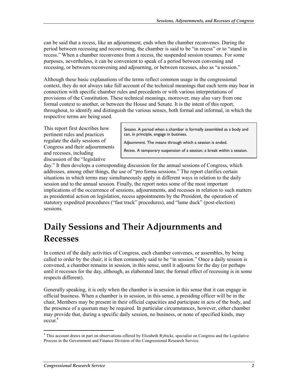can be said that a recess, like an adjournment, ends when the chamber reconvenes. During the period between recessing and reconvening, the chamber is said to be "in recess" or to "stand in recess." When a chamber reconvenes from a recess, the suspended session resumes. For some purposes, nevertheless, it can be convenient to speak of a period between convening and recessing, or between reconvening and adjourning, or between recesses, also as "a session."

Although these basic explanations of the terms reflect common usage in the congressional context, they do not always take full account of the technical meanings that each term may bear in connection with specific chamber rules and precedents or with various interpretations of provisions of the Constitution. These technical meanings, moreover, may also vary from one formal context to another, or between the House and Senate. It is the intent of this report, throughout, to identify and distinguish the various senses, both formal and informal, in which the respective terms are being used.

This report first describes how pertinent rules and practices regulate the daily sessions of Congress and their adjournments and recesses, including discussion of the "legislative

*Session.* A period when a chamber is formally assembled as a body and can, in principle, engage in business.

*Adjournment*. The means through which a session is ended.

*Recess*. A temporary suspension of a session; a break within a session.

day." It then develops a corresponding discussion for the annual sessions of Congress, which addresses, among other things, the use of "pro forma sessions." The report clarifies certain situations in which terms may simultaneously apply in different ways in relation to the daily session and to the annual session. Finally, the report notes some of the most important implications of the occurrence of sessions, adjournments, and recesses in relation to such matters as presidential action on legislation, recess appointments by the President, the operation of statutory expedited procedures ("fast track" procedures), and "lame duck" (post-election) sessions.

## **Daily Sessions and Their Adjournments and Recesses**

In context of the daily activities of Congress, each chamber convenes, or assembles, by being called to order by the chair; it is then commonly said to be "in session." Once a daily session is convened, a chamber remains in session, in this sense, until it adjourns for the day (or perhaps until it recesses for the day, although, as elaborated later, the formal effect of recessing is in some respects different).

Generally speaking, it is only when the chamber is in session in this sense that it can engage in official business. When a chamber is in session, in this sense, a presiding officer will be in the chair, Members may be present in their official capacities and participate in acts of the body, and the presence of a quorum may be required. In particular circumstances, however, either chamber may provide that, during a specific daily session, no business, or none of specified kinds, may  $\text{occur.}^4$ 

This account draws in part on observations offered by Elizabeth Rybicki, specialist on Congress and the Legislative Process in the Government and Finance Division of the Congressional Research Service.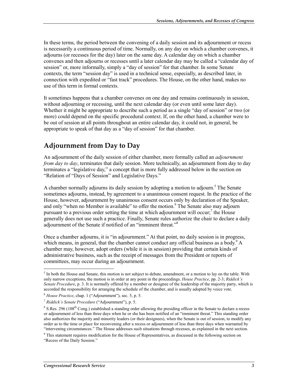In these terms, the period between the convening of a daily session and its adjournment or recess is necessarily a continuous period of time. Normally, on any day on which a chamber convenes, it adjourns (or recesses for the day) later on the same day. A calendar day on which a chamber convenes and then adjourns or recesses until a later calendar day may be called a "calendar day of session" or, more informally, simply a "day of session" for that chamber. In some Senate contexts, the term "session day" is used in a technical sense, especially, as described later, in connection with expedited or "fast track" procedures. The House, on the other hand, makes no use of this term in formal contexts.

It sometimes happens that a chamber convenes on one day and remains continuously in session, without adjourning or recessing, until the next calendar day (or even until some later day). Whether it might be appropriate to describe such a period as a single "day of session" or two (or more) could depend on the specific procedural context. If, on the other hand, a chamber were to be out of session at all points throughout an entire calendar day, it could not, in general, be appropriate to speak of that day as a "day of session" for that chamber.

### **Adjournment from Day to Day**

An adjournment of the daily session of either chamber, more formally called an *adjournment from day to day*, terminates that daily session. More technically, an adjournment from day to day terminates a "legislative day," a concept that is more fully addressed below in the section on "Relation of "Days of Session" and Legislative Days."

A chamber normally adjourns its daily session by adopting a motion to adjourn.<sup>5</sup> The Senate sometimes adjourns, instead, by agreement to a unanimous consent request. In the practice of the House, however, adjournment by unanimous consent occurs only by declaration of the Speaker, and only "when no Member is available" to offer the motion.<sup>6</sup> The Senate also may adjourn pursuant to a previous order setting the time at which adjournment will occur; $\frac{7}{1}$  the House generally does not use such a practice. Finally, Senate rules authorize the chair to declare a daily adjournment of the Senate if notified of an "imminent threat."8

Once a chamber adjourns, it is "in adjournment." At that point, no daily session is in progress, which means, in general, that the chamber cannot conduct any official business as a body.  $A$ chamber may, however, adopt orders (while it is in session) providing that certain kinds of administrative business, such as the receipt of messages from the President or reports of committees, may occur during an adjournment.

<sup>&</sup>lt;sup>5</sup> In both the House and Senate, this motion is not subject to debate, amendment, or a motion to lay on the table. With only narrow exceptions, the motion is in order at any point in the proceedings. *House Practice*, pp. 2-3; *Riddick's Senate Procedure*, p. 3. It is normally offered by a member or designee of the leadership of the majority party, which is accorded the responsibility for arranging the schedule of the chamber, and is usually adopted by voice vote.

<sup>6</sup> *House Practice*, chap. 1 ("Adjournment"), sec. 5, p. 5.

<sup>7</sup> *Riddick's Senate Procedure* ("Adjournment"), p. 5.

 $8$  S.Res. 296 (108<sup>th</sup> Cong.) established a standing order allowing the presiding officer in the Senate to declare a recess or adjournment of less than three days when he or she has been notified of an "imminent threat." This standing order also authorizes the majority and minority leaders (or their designees), when the Senate is out of session, to modify any order as to the time or place for reconvening after a recess or adjournment of less than three days when warranted by "intervening circumstances." The House addresses such situations through recesses, as explained in the next section.

<sup>&</sup>lt;sup>9</sup> This statement requires modification for the House of Representatives, as discussed in the following section on "Recess of the Daily Session."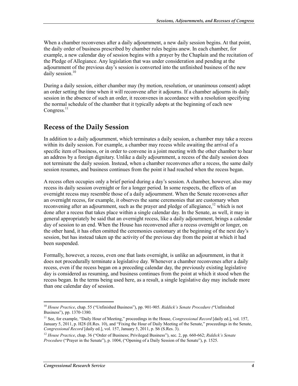When a chamber reconvenes after a daily adjournment, a new daily session begins. At that point, the daily order of business prescribed by chamber rules begins anew. In each chamber, for example, a new calendar day of session begins with a prayer by the Chaplain and the recitation of the Pledge of Allegiance. Any legislation that was under consideration and pending at the adjournment of the previous day's session is converted into the unfinished business of the new daily session.<sup>10</sup>

During a daily session, either chamber may (by motion, resolution, or unanimous consent) adopt an order setting the time when it will reconvene after it adjourns. If a chamber adjourns its daily session in the absence of such an order, it reconvenes in accordance with a resolution specifying the normal schedule of the chamber that it typically adopts at the beginning of each new Congress. $^{11}$ 

### **Recess of the Daily Session**

In addition to a daily adjournment, which terminates a daily session, a chamber may take a recess within its daily session. For example, a chamber may recess while awaiting the arrival of a specific item of business, or in order to convene in a joint meeting with the other chamber to hear an address by a foreign dignitary. Unlike a daily adjournment, a recess of the daily session does not terminate the daily session. Instead, when a chamber reconvenes after a recess, the same daily session resumes, and business continues from the point it had reached when the recess began.

A recess often occupies only a brief period during a day's session. A chamber, however, also may recess its daily session overnight or for a longer period. In some respects, the effects of an overnight recess may resemble those of a daily adjournment. When the Senate reconvenes after an overnight recess, for example, it observes the same ceremonies that are customary when reconvening after an adjournment, such as the prayer and pledge of allegiance,  $12$  which is not done after a recess that takes place within a single calendar day. In the Senate, as well, it may in general appropriately be said that an overnight recess, like a daily adjournment, brings a calendar day of session to an end. When the House has reconvened after a recess overnight or longer, on the other hand, it has often omitted the ceremonies customary at the beginning of the next day's session, but has instead taken up the activity of the previous day from the point at which it had been suspended.

Formally, however, a recess, even one that lasts overnight, is unlike an adjournment, in that it does not procedurally terminate a legislative day*.* Whenever a chamber reconvenes after a daily recess, even if the recess began on a preceding calendar day, the previously existing legislative day is considered as resuming, and business continues from the point at which it stood when the recess began. In the terms being used here, as a result, a single legislative day may include more than one calendar day of session.

<sup>1</sup> <sup>10</sup> *House Practice*, chap. 55 ("Unfinished Business"), pp. 901-905. *Riddick's Senate Procedure (*"Unfinished Business"), pp. 1370-1380.

<sup>11</sup> See, for example, "Daily Hour of Meeting," proceedings in the House, *Congressional Record* [daily ed.], vol. 157, January 5, 2011, p. H28 (H.Res. 10), and "Fixing the Hour of Daily Meeting of the Senate," proceedings in the Senate, *Congressional Record* [daily ed.], vol. 157, January 5, 2011, p. S6 (S.Res. 3).

<sup>12</sup> *House Practice*, chap. 36 ("Order of Business; Privileged Business"), sec. 2, pp. 660-662; *Riddick's Senate Procedure* ("Prayer in the Senate"), p. 1004, ("Opening of a Daily Session of the Senate"), p. 1525.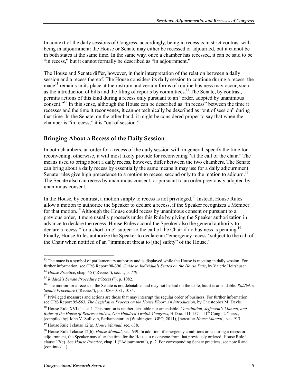In context of the daily sessions of Congress, accordingly, being in recess is in strict contrast with being in adjournment: the House or Senate may either be recessed or adjourned, but it cannot be in both states at the same time. In the same way, once a chamber has recessed, it can be said to be "in recess," but it cannot formally be described as "in adjournment."

The House and Senate differ, however, in their interpretation of the relation between a daily session and a recess thereof. The House considers its daily session to continue during a recess: the mace<sup>13</sup> remains in its place at the rostrum and certain forms of routine business may occur, such as the introduction of bills and the filing of reports by committees.<sup>14</sup> The Senate, by contrast, permits actions of this kind during a recess only pursuant to an "order, adopted by unanimous consent."<sup>15</sup> In this sense, although the House can be described as "in recess" between the time it recesses and the time it reconvenes, it cannot technically be described as "out of session" during that time. In the Senate, on the other hand, it might be considered proper to say that when the chamber is "in recess," it is "out of session."

#### **Bringing About a Recess of the Daily Session**

In both chambers, an order for a recess of the daily session will, in general, specify the time for reconvening; otherwise, it will most likely provide for reconvening "at the call of the chair." The means used to bring about a daily recess, however, differ between the two chambers. The Senate can bring about a daily recess by essentially the same means it may use for a daily adjournment. Senate rules give high precedence to a motion to recess, second only to the motion to adjourn.<sup>16</sup> The Senate also can recess by unanimous consent, or pursuant to an order previously adopted by unanimous consent.

In the House, by contrast, a motion simply to recess is not privileged.<sup>17</sup> Instead, House Rules allow a motion to authorize the Speaker to declare a recess, if the Speaker recognizes a Member for that motion.<sup>18</sup> Although the House could recess by unanimous consent or pursuant to a previous order, it more usually proceeds under this Rule by giving the Speaker authorization in advance to declare the recess. House Rules accord the Speaker also the general authority to declare a recess "for a short time" subject to the call of the Chair if no business is pending.<sup>19</sup> Finally, House Rules authorize the Speaker to declare an "emergency recess" subject to the call of the Chair when notified of an "imminent threat to [the] safety" of the House.<sup>20</sup>

<sup>&</sup>lt;sup>13</sup> The mace is a symbol of parliamentary authority and is displayed while the House is meeting in daily session. For further information, see CRS Report 98-396, *Guide to Individuals Seated on the House Dais*, by Valerie Heitshusen.

<sup>14</sup> *House Practice*, chap. 45 ("Recess"), sec. 1, p. 779.

<sup>15</sup> *Riddick's Senate Procedure* ("Recess"), p. 1082.

<sup>16</sup> The motion for a recess in the Senate is not debatable, and may not be laid on the table, but it is amendable. *Riddick's Senate Procedure* ("Recess"), pp. 1080-1081, 1084.

<sup>&</sup>lt;sup>17</sup> Privileged measures and actions are those that may interrupt the regular order of business. For further information, see CRS Report 95-563, *The Legislative Process on the House Floor: An Introduction*, by Christopher M. Davis.

<sup>18</sup> House Rule XVI clause 4. This motion is neither debatable nor amendable. *Constitution, Jefferson's Manual, and Rules of the House of Representatives, One Hundred Twelfth Congress, H.Doc. 111-157, 111<sup>th</sup> Cong., 2<sup>nd</sup> sess.,* [compiled by] John V. Sullivan, Parliamentarian (Washington: GPO, 2011), [hereafter *House Manual*]*,* sec. 913.

<sup>19</sup> House Rule I clause 12(a), *House Manual*, sec. 638.

<sup>20</sup> House Rule I clause 12(b), *House Manual*, sec. 639. In addition, if emergency conditions arise during a recess or adjournment, the Speaker may alter the time for the House to reconvene from that previously ordered. House Rule I clause 12(c). See *House Practice*, chap. 1 ("Adjournment"), p. 2. For corresponding Senate practices, see note 8 and (continued...)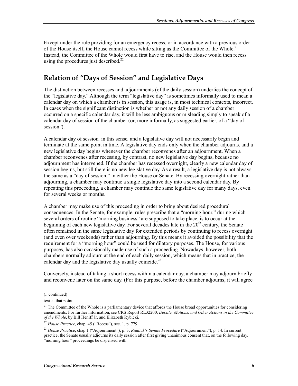Except under the rule providing for an emergency recess, or in accordance with a previous order of the House itself, the House cannot recess while sitting as the Committee of the Whole.<sup>21</sup> Instead, the Committee of the Whole would first have to rise, and the House would then recess using the procedures just described.<sup>22</sup>

### **Relation of "Days of Session" and Legislative Days**

The distinction between recesses and adjournments (of the daily session) underlies the concept of the "legislative day." Although the term "legislative day" is sometimes informally used to mean a calendar day on which a chamber is in session, this usage is, in most technical contexts, incorrect. In cases when the significant distinction is whether or not any daily session of a chamber occurred on a specific calendar day, it will be less ambiguous or misleading simply to speak of a calendar day of session of the chamber (or, more informally, as suggested earlier, of a "day of session").

A calendar day of session*,* in this sense*,* and a legislative day will not necessarily begin and terminate at the same point in time. A legislative day ends only when the chamber adjourns, and a new legislative day begins whenever the chamber reconvenes after an adjournment. When a chamber reconvenes after recessing, by contrast, no new legislative day begins, because no adjournment has intervened. If the chamber has recessed overnight, clearly a new calendar day of session begins, but still there is no new legislative day. As a result, a legislative day is not always the same as a "day of session," in either the House or Senate. By recessing overnight rather than adjourning, a chamber may continue a single legislative day into a second calendar day. By repeating this proceeding, a chamber may continue the same legislative day for many days, even for several weeks or months.

A chamber may make use of this proceeding in order to bring about desired procedural consequences. In the Senate, for example, rules prescribe that a "morning hour," during which several orders of routine "morning business" are supposed to take place, is to occur at the beginning of each new legislative day. For several decades late in the 20<sup>th</sup> century, the Senate often remained in the same legislative day for extended periods by continuing to recess overnight (and even over weekends) rather than adjourning. By this means it avoided the possibility that the requirement for a "morning hour" could be used for dilatory purposes. The House, for various purposes, has also occasionally made use of such a proceeding. Nowadays, however, both chambers normally adjourn at the end of each daily session, which means that in practice, the calendar day and the legislative day usually coincide.<sup>23</sup>

Conversely, instead of taking a short recess within a calendar day, a chamber may adjourn briefly and reconvene later on the same day. (For this purpose, before the chamber adjourns, it will agree

 $\overline{a}$ 

<sup>(...</sup>continued)

text at that point.

<sup>&</sup>lt;sup>21</sup> The Committee of the Whole is a parliamentary device that affords the House broad opportunities for considering amendments. For further information, see CRS Report RL32200, *Debate, Motions, and Other Actions in the Committee of the Whole*, by Bill Heniff Jr. and Elizabeth Rybicki.

<sup>22</sup> *House Practice*, chap. 45 ("Recess"), sec. 1, p. 779.

<sup>23</sup> *House Practice*, chap 1 ("Adjournment"), p. 3; *Riddick's Senate Procedure* ("Adjournment"), p. 14. In current practice, the Senate usually adjourns its daily session after first giving unanimous consent that, on the following day, "morning hour" proceedings be dispensed with.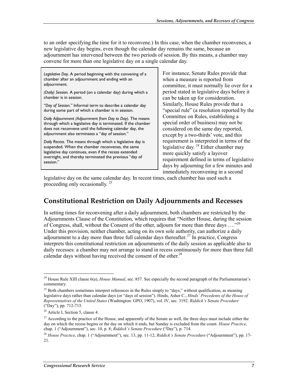to an order specifying the time for it to reconvene.) In this case, when the chamber reconvenes, a new legislative day begins, even though the calendar day remains the same, because an adjournment has intervened between the two periods of session. By this means, a chamber may convene for more than one legislative day on a single calendar day.

*Legislative Day.* A period beginning with the convening of a chamber after an adjournment and ending with an adjournment.

*(Daily) Session.* A period (on a calendar day) during which a chamber is in session.

*"Day of Session*." Informal term to describe a calendar day during some part of which a chamber is in session.

*Daily Adjournment (Adjournment from Day to Day)*. The means through which a legislative day is terminated. If the chamber does not reconvene until the following calendar day, the adjournment also terminates a "day of session."

*Daily Recess*. The means through which a legislative day is suspended. When the chamber reconvenes, the same legislative day continues, even if the recess extended overnight, and thereby terminated the previous "day of session."

For instance, Senate Rules provide that when a measure is reported from committee, it must normally lie over for a period stated in legislative days before it can be taken up for consideration. Similarly, House Rules provide that a "special rule" (a resolution reported by the Committee on Rules, establishing a special order of business) may not be considered on the same day reported, except by a two-thirds' vote, and this requirement is interpreted in terms of the legislative day*.* 24 Either chamber may more quickly satisfy a layover requirement defined in terms of legislative days by adjourning for a few minutes and immediately reconvening in a second

legislative day on the same calendar day. In recent times, each chamber has used such a proceeding only occasionally.  $25$ 

#### **Constitutional Restriction on Daily Adjournments and Recesses**

In setting times for reconvening after a daily adjournment, both chambers are restricted by the Adjournments Clause of the Constitution, which requires that "Neither House, during the session of Congress, shall, without the Consent of the other, adjourn for more than three days ....<sup>"26</sup> Under this provision, neither chamber, acting on its own sole authority, can authorize a daily adjournment to a day more than three full calendar days thereafter.<sup>27</sup> In practice, Congress interprets this constitutional restriction on adjournments of the daily session as applicable also to daily recesses: a chamber may not arrange to stand in recess continuously for more than three full calendar days without having received the consent of the other.<sup>28</sup>

<sup>24</sup> House Rule XIII clause 6(a), *House Manual*, sec. 857. See especially the second paragraph of the Parliamentarian's commentary.

 $^{25}$  Both chambers sometimes interpret references in the Rules simply to "days," without qualification, as meaning legislative days rather than calendar days (or "days of session"). Hinds, Asher C., *Hinds' Precedents of the House of Representatives of the United States* (Washington: GPO, 1907), vol. IV, sec. 3192. *Riddick's Senate Procedure* ("Day"), pp. 712-715.

<sup>&</sup>lt;sup>26</sup> Article I, Section 5, clause 4.

<sup>&</sup>lt;sup>27</sup> According to the practice of the House, and apparently of the Senate as well, the three days must include either the day on which the recess begins or the day on which it ends, but Sunday is excluded from the count. *House Practice*, chap. 1 ("Adjournment"), sec. 10, p. 8; *Riddick's Senate Procedure* ("Day"), p. 714.

<sup>28</sup> *House Practice*, chap. 1 ("Adjournment"), sec. 13, pp. 11-12; *Riddick's Senate Procedure* ("Adjournment"), pp. 17- 21.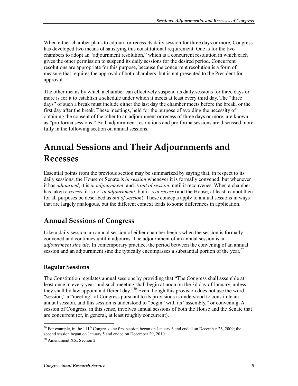When either chamber plans to adjourn or recess its daily session for three days or more*,* Congress has developed two means of satisfying this constitutional requirement. One is for the two chambers to adopt an "adjournment resolution," which is a concurrent resolution in which each gives the other permission to suspend its daily sessions for the desired period. Concurrent resolutions are appropriate for this purpose, because the concurrent resolution is a form of measure that requires the approval of both chambers, but is not presented to the President for approval.

The other means by which a chamber can effectively suspend its daily sessions for three days or more is for it to establish a schedule under which it meets at least every third day. The "three days" of such a break must include either the last day the chamber meets before the break, or the first day after the break. These meetings, held for the purpose of avoiding the necessity of obtaining the consent of the other to an adjournment or recess of three days or more, are known as "pro forma sessions." Both adjournment resolutions and pro forma sessions are discussed more fully in the following section on annual sessions.

## **Annual Sessions and Their Adjournments and Recesses**

Essential points from the previous section may be summarized by saying that, in respect to its daily sessions, the House or Senate is *in session* whenever it is formally convened, but whenever it has *adjourned*, it is *in adjournment*, and is *out of session*, until it reconvenes. When a chamber has taken a *recess*, it is not *in adjournment*, but it is *in recess* (and the House, at least, cannot then for all purposes be described as *out of session*). These concepts apply to annual sessions in ways that are largely analogous, but the different context leads to some differences in application.

#### **Annual Sessions of Congress**

Like a daily session, an annual session of either chamber begins when the session is formally convened and continues until it adjourns. The adjournment of an annual session is an *adjournment sine die*. In contemporary practice, the period between the convening of an annual session and an adjournment sine die typically encompasses a substantial portion of the year.<sup>29</sup>

#### **Regular Sessions**

The Constitution regulates annual sessions by providing that "The Congress shall assemble at least once in every year, and such meeting shall begin at noon on the 3d day of January, unless they shall by law appoint a different day."30 Even though this provision does not use the word "session," a "meeting" of Congress pursuant to its provisions is understood to constitute an annual session, and this session is understood to "begin" with its "assembly," or convening. A session of Congress, in this sense, involves annual sessions of both the House and the Senate that are concurrent (or, in general, at least roughly concurrent).

<sup>&</sup>lt;sup>29</sup> For example, in the 111<sup>th</sup> Congress, the first session began on January 6 and ended on December 26, 2009; the second session began on January 5 and ended on December 29, 2010.

<sup>&</sup>lt;sup>30</sup> Amendment XX, Section 2.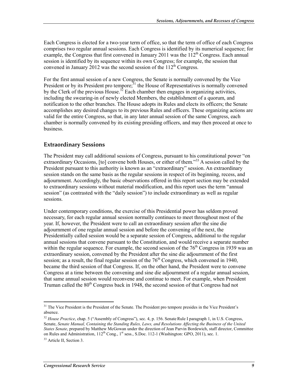Each Congress is elected for a two-year term of office, so that the term of office of each Congress comprises two regular annual sessions. Each Congress is identified by its numerical sequence; for example, the Congress that first convened in January 2011 was the  $112<sup>th</sup>$  Congress. Each annual session is identified by its sequence within its own Congress; for example, the session that convened in January 2012 was the second session of the  $112<sup>th</sup>$  Congress.

For the first annual session of a new Congress, the Senate is normally convened by the Vice President or by its President pro tempore;<sup>31</sup> the House of Representatives is normally convened by the Clerk of the previous House.<sup>32</sup> Each chamber then engages in organizing activities, including the swearing-in of newly elected Members, the establishment of a quorum, and notification to the other branches. The House adopts its Rules and elects its officers; the Senate accomplishes any desired changes to its previous Rules and officers. These organizing actions are valid for the entire Congress, so that, in any later annual session of the same Congress, each chamber is normally convened by its existing presiding officers, and may then proceed at once to business.

#### **Extraordinary Sessions**

The President may call additional sessions of Congress, pursuant to his constitutional power "on extraordinary Occasions, [to] convene both Houses, or either of them."<sup>33</sup> A session called by the President pursuant to this authority is known as an "extraordinary" session. An extraordinary session stands on the same basis as the regular sessions in respect of its beginning, recess, and adjournment. Accordingly, the basic observations offered in this report section may be extended to extraordinary sessions without material modification, and this report uses the term "annual session" (as contrasted with the "daily session") to include extraordinary as well as regular sessions.

Under contemporary conditions, the exercise of this Presidential power has seldom proved necessary, for each regular annual session normally continues to meet throughout most of the year. If, however, the President were to call an extraordinary session after the sine die adjournment of one regular annual session and before the convening of the next, the Presidentially called session would be a separate session of Congress, additional to the regular annual sessions that convene pursuant to the Constitution, and would receive a separate number within the regular sequence. For example, the second session of the  $76<sup>th</sup>$  Congress in 1939 was an extraordinary session, convened by the President after the sine die adjournment of the first session; as a result, the final regular session of the  $76<sup>th</sup>$  Congress, which convened in 1940, became the third session of that Congress. If, on the other hand, the President were to convene Congress at a time between the convening and sine die adjournment of a regular annual session, that same annual session would reconvene and continue to meet. For example, when President Truman called the  $80<sup>th</sup>$  Congress back in 1948, the second session of that Congress had not

<sup>&</sup>lt;sup>31</sup> The Vice President is the President of the Senate. The President pro tempore presides in the Vice President's absence.

<sup>&</sup>lt;sup>32</sup> House Practice, chap. 5 ("Assembly of Congress"), sec. 4, p. 156. Senate Rule I paragraph 1, in U.S. Congress, Senate, *Senate Manual, Containing the Standing Rules, Laws, and Resolutions Affecting the Business of the United States Senate*, prepared by Matthew McGowan under the direction of Jean Parvin Bordewich, staff director, Committee on Rules and Administration,  $112^{th}$  Cong.,  $1^{st}$  sess., S.Doc. 112-1 (Washington: GPO, 2011), sec. 1.

<sup>&</sup>lt;sup>33</sup> Article II, Section 3.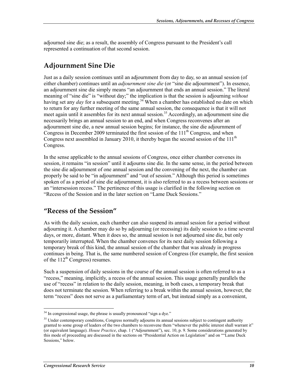adjourned sine die; as a result, the assembly of Congress pursuant to the President's call represented a continuation of that second session.

#### **Adjournment Sine Die**

Just as a daily session continues until an adjournment from day to day, so an annual session (of either chamber) continues until an *adjournment sine die* (or "sine die adjournment"). In essence, an adjournment sine die simply means "an adjournment that ends an annual session." The literal meaning of "sine die" is "without day;" the implication is that the session is adjourning *without* having set any *day* for a subsequent meeting.<sup>34</sup> When a chamber has established no date on which to return for any further meeting of the same annual session, the consequence is that it will not meet again until it assembles for its next annual session.<sup>35</sup> Accordingly, an adjournment sine die necessarily brings an annual session to an end, and when Congress reconvenes after an adjournment sine die, a new annual session begins; for instance, the sine die adjournment of Congress in December 2009 terminated the first session of the  $111<sup>th</sup>$  Congress, and when Congress next assembled in January 2010, it thereby began the second session of the  $111<sup>th</sup>$ Congress.

In the sense applicable to the annual sessions of Congress, once either chamber convenes its session, it remains "in session" until it adjourns sine die. In the same sense, in the period between the sine die adjournment of one annual session and the convening of the next, the chamber can properly be said to be "in adjournment" and "out of session." Although this period is sometimes spoken of as a period of sine die adjournment, it is also referred to as a recess between sessions or an "intersession recess." The pertinence of this usage is clarified in the following section on "Recess of the Session and in the later section on "Lame Duck Sessions."

#### **"Recess of the Session"**

As with the daily session, each chamber can also suspend its annual session for a period without adjourning it. A chamber may do so by adjourning (or recessing) its daily session to a time several days, or more, distant. When it does so, the annual session is not adjourned sine die, but only temporarily interrupted. When the chamber convenes for its next daily session following a temporary break of this kind, the annual session of the chamber that was already in progress continues in being. That is, the same numbered session of Congress (for example, the first session of the  $112^{th}$  Congress) resumes.

Such a suspension of daily sessions in the course of the annual session is often referred to as a "recess," meaning, implicitly, a recess of the annual session. This usage generally parallels the use of "recess" in relation to the daily session, meaning, in both cases, a temporary break that does not terminate the session. When referring to a break within the annual session, however, the term "recess" does not serve as a parliamentary term of art, but instead simply as a convenient,

<sup>1</sup> <sup>34</sup> In congressional usage, the phrase is usually pronounced "sign a dye."

<sup>&</sup>lt;sup>35</sup> Under contemporary conditions, Congress normally adjourns its annual sessions subject to contingent authority granted to some group of leaders of the two chambers to reconvene them "whenever the public interest shall warrant it" (or equivalent language). *House Practice*, chap. 1 ("Adjournment"), sec. 10, p. 9. Some considerations generated by this mode of proceeding are discussed in the sections on "Presidential Action on Legislation" and on ""Lame Duck Sessions," below.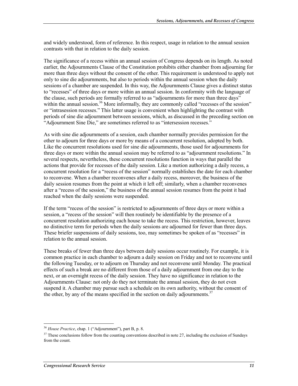and widely understood, form of reference. In this respect, usage in relation to the annual session contrasts with that in relation to the daily session.

The significance of a recess within an annual session of Congress depends on its length. As noted earlier, the Adjournments Clause of the Constitution prohibits either chamber from adjourning for more than three days without the consent of the other. This requirement is understood to apply not only to sine die adjournments, but also to periods within the annual session when the daily sessions of a chamber are suspended. In this way, the Adjournments Clause gives a distinct status to "recesses" of three days or more within an annual session. In conformity with the language of the clause, such periods are formally referred to as "adjournments for more than three days" within the annual session.<sup>36</sup> More informally, they are commonly called "recesses of the session" or "intrasession recesses." This latter usage is convenient when highlighting the contrast with periods of sine die adjournment between sessions, which, as discussed in the preceding section on "Adjournment Sine Die," are sometimes referred to as "intersession recesses."

As with sine die adjournments of a session, each chamber normally provides permission for the other to adjourn for three days or more by means of a concurrent resolution, adopted by both. Like the concurrent resolutions used for sine die adjournments, those used for adjournments for three days or more within the annual session may be referred to as "adjournment resolutions." In several respects, nevertheless, these concurrent resolutions function in ways that parallel the actions that provide for recesses of the daily session. Like a motion authorizing a daily recess, a concurrent resolution for a "recess of the session" normally establishes the date for each chamber to reconvene. When a chamber reconvenes after a daily recess, moreover, the business of the daily session resumes from the point at which it left off; similarly, when a chamber reconvenes after a "recess of the session," the business of the annual session resumes from the point it had reached when the daily sessions were suspended.

If the term "recess of the session" is restricted to adjournments of three days or more within a session, a "recess of the session" will then routinely be identifiable by the presence of a concurrent resolution authorizing each house to take the recess. This restriction, however, leaves no distinctive term for periods when the daily sessions are adjourned for fewer than three days. These briefer suspensions of daily sessions, too, may sometimes be spoken of as "recesses" in relation to the annual session.

These breaks of fewer than three days between daily sessions occur routinely. For example, it is common practice in each chamber to adjourn a daily session on Friday and not to reconvene until the following Tuesday, or to adjourn on Thursday and not reconvene until Monday. The practical effects of such a break are no different from those of a daily adjournment from one day to the next, or an overnight recess of the daily session. They have no significance in relation to the Adjournments Clause: not only do they not terminate the annual session, they do not even suspend it. A chamber may pursue such a schedule on its own authority, without the consent of the other, by any of the means specified in the section on daily adjournments.<sup>37</sup>

<sup>36</sup> *House Practice*, chap. 1 ("Adjournment"), part B, p. 8.

 $37$  These conclusions follow from the counting conventions described in note 27, including the exclusion of Sundays from the count.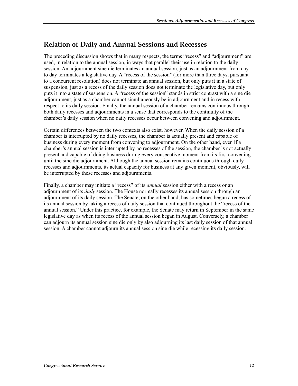### **Relation of Daily and Annual Sessions and Recesses**

The preceding discussion shows that in many respects, the terms "recess" and "adjournment" are used, in relation to the annual session, in ways that parallel their use in relation to the daily session. An adjournment sine die terminates an annual session, just as an adjournment from day to day terminates a legislative day. A "recess of the session" (for more than three days, pursuant to a concurrent resolution) does not terminate an annual session, but only puts it in a state of suspension, just as a recess of the daily session does not terminate the legislative day, but only puts it into a state of suspension. A "recess of the session" stands in strict contrast with a sine die adjournment, just as a chamber cannot simultaneously be in adjournment and in recess with respect to its daily session. Finally, the annual session of a chamber remains continuous through both daily recesses and adjournments in a sense that corresponds to the continuity of the chamber's daily session when no daily recesses occur between convening and adjournment.

Certain differences between the two contexts also exist, however. When the daily session of a chamber is interrupted by no daily recesses, the chamber is actually present and capable of business during every moment from convening to adjournment. On the other hand, even if a chamber's annual session is interrupted by no recesses of the session, the chamber is not actually present and capable of doing business during every consecutive moment from its first convening until the sine die adjournment. Although the annual session remains continuous through daily recesses and adjournments, its actual capacity for business at any given moment, obviously, will be interrupted by these recesses and adjournments.

Finally, a chamber may initiate a "recess" of its *annual* session either with a recess or an adjournment of its *daily* session. The House normally recesses its annual session through an adjournment of its daily session. The Senate, on the other hand, has sometimes begun a recess of its annual session by taking a recess of daily session that continued throughout the "recess of the annual session." Under this practice, for example, the Senate may return in September in the same legislative day as when its recess of the annual session began in August. Conversely, a chamber can adjourn its annual session sine die only by also adjourning its last daily session of that annual session. A chamber cannot adjourn its annual session sine die while recessing its daily session.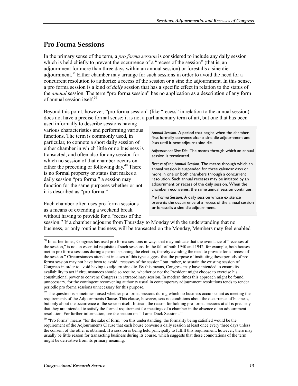#### **Pro Forma Sessions**

In the primary sense of the term, a *pro forma session* is considered to include any daily session which is held chiefly to prevent the occurrence of a "recess of the session" (that is, an adjournment for more than three days within an annual session) or forestalls a sine die adjournment.<sup>38</sup> Either chamber may arrange for such sessions in order to avoid the need for a concurrent resolution to authorize a recess of the session or a sine die adjournment. In this sense, a pro forma session is a kind of *daily* session that has a specific effect in relation to the status of the *annual* session. The term "pro forma session" has no application as a description of any form of annual session itself.39

Beyond this point, however, "pro forma session" (like "recess" in relation to the annual session) does not have a precise formal sense; it is not a parliamentary term of art, but one that has been

used informally to describe sessions having various characteristics and performing various functions. The term is commonly used, in particular, to connote a short daily session of either chamber in which little or no business is transacted, and often also for any session for which no session of that chamber occurs on either the preceding or following day. $40$  There is no formal property or status that makes a daily session "pro forma;" a session may function for the same purposes whether or not it is described as "pro forma."

Each chamber often uses pro forma sessions as a means of extending a weekend break without having to provide for a "recess of the

1

*Annual Session*. A period that begins when the chamber first formally convene*s* after a sine die adjournment and *lasts* until it next adjourns sine die.

*Adjournment Sine Die*. The means through which an annual session is terminated.

*Recess of the Annual Session*. The means through which an annual session is suspended for three calendar days or more in one or both chambers through a concurrent resolution. Such annual recesses may be initiated by an adjournment or recess of the daily session. When the chamber reconvenes, the same annual session continues.

*Pro* F*orma Session*. A daily session whose existence prevents the occurrence of a recess of the annual session or forestalls a sine die adjournment.

session." If a chamber adjourns from Thursday to Monday with the understanding that no business, or only routine business, will be transacted on the Monday, Members may feel enabled

<sup>&</sup>lt;sup>38</sup> In earlier times, Congress has used pro forma sessions in ways that may indicate that the avoidance of "recesses of the session," is not an essential requisite of such sessions. In the fall of both 1940 and 1942, for example, both houses met in pro forma sessions during a period spanning the election, thereby avoiding the need to provide for a "recess of the session." Circumstances attendant in cases of this type suggest that the purpose of instituting these periods of pro forma session may not have been to avoid "recesses of the session" but, rather, to sustain the existing session of Congress in order to avoid having to adjourn sine die. By this means, Congress may have intended to ensure its availability to act if circumstances should so require, whether or not the President might choose to exercise his constitutional power to convene Congress in extraordinary session. In modern times this approach might be found unnecessary, for the contingent reconvening authority usual in contemporary adjournment resolutions tends to render periodic pro forma sessions unnecessary for this purpose.

<sup>&</sup>lt;sup>39</sup> The question is sometimes raised whether pro forma sessions during which no business occurs count as meeting the requirements of the Adjournments Clause. This clause, however, sets no conditions about the occurrence of business, but only about the occurrence of the session itself. Instead, the reason for holding pro forma sessions at all is precisely that they are intended to satisfy the formal requirement for meetings of a chamber in the absence of an adjournment resolution. For further information, see the section on ""Lame Duck Sessions."

 $40$  "Pro forma" means "for the sake of form;" on this understanding, the formality being satisfied would be the requirement of the Adjournments Clause that each house convene a daily session at least once every three days unless the consent of the other is obtained. If a session is being held principally to fulfill this requirement, however, there may usually be little reason for transacting business during its course, which suggests that these connotations of the term might be derivative from its primary meaning.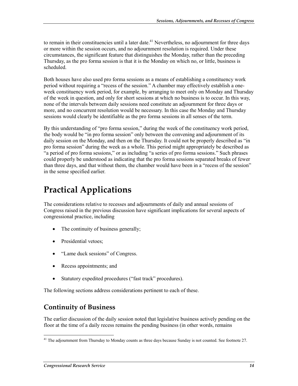to remain in their constituencies until a later date.<sup>41</sup> Nevertheless, no adjournment for three days or more within the session occurs, and no adjournment resolution is required. Under these circumstances, the significant feature that distinguishes the Monday, rather than the preceding Thursday, as the pro forma session is that it is the Monday on which no, or little, business is scheduled.

Both houses have also used pro forma sessions as a means of establishing a constituency work period without requiring a "recess of the session." A chamber may effectively establish a oneweek constituency work period, for example, by arranging to meet only on Monday and Thursday of the week in question, and only for short sessions at which no business is to occur. In this way, none of the intervals between daily sessions need constitute an adjournment for three days or more, and no concurrent resolution would be necessary. In this case the Monday and Thursday sessions would clearly be identifiable as the pro forma sessions in all senses of the term.

By this understanding of "pro forma session," during the week of the constituency work period, the body would be "in pro forma session" only between the convening and adjournment of its daily session on the Monday, and then on the Thursday. It could not be properly described as "in pro forma session" during the week as a whole. This period might appropriately be described as "a period of pro forma sessions," or as including "a series of pro forma sessions." Such phrases could properly be understood as indicating that the pro forma sessions separated breaks of fewer than three days, and that without them, the chamber would have been in a "recess of the session" in the sense specified earlier.

## **Practical Applications**

The considerations relative to recesses and adjournments of daily and annual sessions of Congress raised in the previous discussion have significant implications for several aspects of congressional practice, including

- The continuity of business generally;
- Presidential vetoes;
- "Lame duck sessions" of Congress.
- Recess appointments; and
- Statutory expedited procedures ("fast track" procedures).

The following sections address considerations pertinent to each of these.

#### **Continuity of Business**

The earlier discussion of the daily session noted that legislative business actively pending on the floor at the time of a daily recess remains the pending business (in other words, remains

<sup>&</sup>lt;u>.</u>  $41$  The adjournment from Thursday to Monday counts as three days because Sunday is not counted. See footnote 27.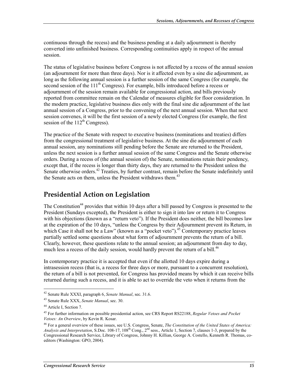continuous through the recess) and the business pending at a daily adjournment is thereby converted into unfinished business. Corresponding continuities apply in respect of the annual session.

The status of legislative business before Congress is not affected by a recess of the annual session (an adjournment for more than three days). Nor is it affected even by a sine die adjournment, as long as the following annual session is a further session of the same Congress (for example, the second session of the  $111<sup>th</sup>$  Congress). For example, bills introduced before a recess or adjournment of the session remain available for congressional action, and bills previously reported from committee remain on the Calendar of measures eligible for floor consideration. In the modern practice, legislative business dies only with the final sine die adjournment of the last annual session of a Congress, prior to the convening of the next annual session. When that next session convenes, it will be the first session of a newly elected Congress (for example, the first session of the  $112<sup>th</sup>$  Congress).

The practice of the Senate with respect to executive business (nominations and treaties) differs from the congressional treatment of legislative business. At the sine die adjournment of each annual session, any nominations still pending before the Senate are returned to the President, unless the next session is a further annual session of the same Congress and the Senate otherwise orders. During a recess of (the annual session of) the Senate, nominations retain their pendency, except that, if the recess is longer than thirty days, they are returned to the President unless the Senate otherwise orders.<sup>42</sup> Treaties, by further contrast, remain before the Senate indefinitely until the Senate acts on them, unless the President withdraws them.<sup>43</sup>

#### **Presidential Action on Legislation**

The Constitution<sup>44</sup> provides that within 10 days after a bill passed by Congress is presented to the President (Sundays excepted), the President is either to sign it into law or return it to Congress with his objections (known as a "return veto"). If the President does neither, the bill becomes law at the expiration of the 10 days, "unless the Congress by their Adjournment prevent its Return, in which Case it shall not be a Law" (known as a "pocket veto").<sup>45</sup> Contemporary practice leaves partially settled some questions about what form of adjournment prevents the return of a bill. Clearly, however, these questions relate to the annual session; an adjournment from day to day, much less a recess of the daily session, would hardly prevent the return of a bill.<sup>46</sup>

In contemporary practice it is accepted that even if the allotted 10 days expire during a intrasession recess (that is, a recess for three days or more, pursuant to a concurrent resolution), the return of a bill is not prevented, for Congress has provided means by which it can receive bills returned during such a recess, and it is able to act to override the veto when it returns from the

<sup>42</sup> Senate Rule XXXI, paragraph 6, *Senate Manual*, sec. 31.6.

<sup>43</sup> Senate Rule XXX, *Senate Manual*, sec. 30.

<sup>44</sup> Article I, Section 7.

<sup>45</sup> For further information on possible presidential action, see CRS Report RS22188, *Regular Vetoes and Pocket Vetoes: An Overview*, by Kevin R. Kosar.

<sup>46</sup> For a general overview of these issues, see U.S. Congress, Senate, *The Constitution of the United States of America: Analysis and Interpretation*, S.Doc. 108-17, 108th Cong., 2nd sess., Article 1, Section 7, clauses 1-3, prepared by the Congressional Research Service, Library of Congress, Johnny H. Killian, George A. Costello, Kenneth R. Thomas, coeditors (Washington: GPO, 2004).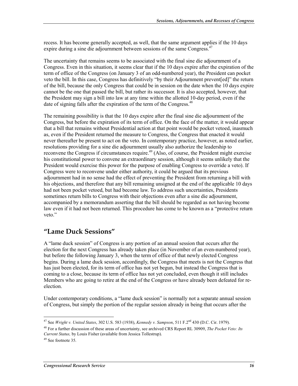recess. It has become generally accepted, as well, that the same argument applies if the 10 days expire during a sine die adjournment between sessions of the same Congress.<sup>47</sup>

The uncertainty that remains seems to be associated with the final sine die adjournment of a Congress. Even in this situation, it seems clear that if the 10 days expire after the expiration of the term of office of the Congress (on January 3 of an odd-numbered year), the President can pocket veto the bill. In this case, Congress has definitively "by their Adjournment prevent[ed]" the return of the bill, because the only Congress that could be in session on the date when the 10 days expire cannot be the one that passed the bill, but rather its successor. It is also accepted, however, that the President may sign a bill into law at any time within the allotted 10-day period, even if the date of signing falls after the expiration of the term of the Congress.<sup>48</sup>

The remaining possibility is that the 10 days expire after the final sine die adjournment of the Congress, but before the expiration of its term of office. On the face of the matter, it would appear that a bill that remains without Presidential action at that point would be pocket vetoed, inasmuch as, even if the President returned the measure to Congress, the Congress that enacted it would never thereafter be present to act on the veto. In contemporary practice, however, as noted earlier, resolutions providing for a sine die adjournment usually also authorize the leadership to reconvene the Congress if circumstances require.<sup>49</sup> (Also, of course, the President might exercise his constitutional power to convene an extraordinary session, although it seems unlikely that the President would exercise this power for the purpose of enabling Congress to override a veto). If Congress were to reconvene under either authority, it could be argued that its previous adjournment had in no sense had the effect of preventing the President from returning a bill with his objections, and therefore that any bill remaining unsigned at the end of the applicable 10 days had not been pocket vetoed, but had become law. To address such uncertainties, Presidents sometimes return bills to Congress with their objections even after a sine die adjournment, accompanied by a memorandum asserting that the bill should be regarded as not having become law even if it had not been returned. This procedure has come to be known as a "protective return veto."

#### **"Lame Duck Sessions"**

A "lame duck session" of Congress is any portion of an annual session that occurs after the election for the next Congress has already taken place (in November of an even-numbered year), but before the following January 3, when the term of office of that newly elected Congress begins. During a lame duck session, accordingly, the Congress that meets is not the Congress that has just been elected, for its term of office has not yet begun, but instead the Congress that is coming to a close, because its term of office has not yet concluded, even though it still includes Members who are going to retire at the end of the Congress or have already been defeated for reelection.

Under contemporary conditions, a "lame duck session" is normally not a separate annual session of Congress, but simply the portion of the regular session already in being that occurs after the

<sup>1</sup> 47 See *Wright v. United States*, 302 U.S. 583 (1938), *Kennedy v. Sampson*, 511 F.2nd 430 (D.C. Cir. 1979).

<sup>48</sup> For a further discussion of these areas of uncertainty, see archived CRS Report RL 30909, *The Pocket Veto: Its Current Status,* by Louis Fisher (available from Jessica Tollestrup).

<sup>&</sup>lt;sup>49</sup> See footnote 35.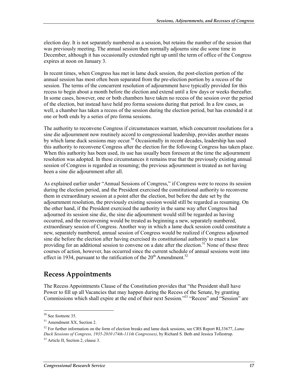election day. It is not separately numbered as a session, but retains the number of the session that was previously meeting. The annual session then normally adjourns sine die some time in December, although it has occasionally extended right up until the term of office of the Congress expires at noon on January 3.

In recent times, when Congress has met in lame duck session, the post-election portion of the annual session has most often been separated from the pre-election portion by a recess of the session. The terms of the concurrent resolution of adjournment have typically provided for this recess to begin about a month before the election and extend until a few days or weeks thereafter. In some cases, however, one or both chambers have taken no recess of the session over the period of the election, but instead have held pro forma sessions during that period. In a few cases, as well, a chamber has taken a recess of the session during the election period, but has extended it at one or both ends by a series of pro forma sessions.

The authority to reconvene Congress if circumstances warrant, which concurrent resolutions for a sine die adjournment now routinely accord to congressional leadership, provides another means by which lame duck sessions may occur.<sup>50</sup> Occasionally in recent decades, leadership has used this authority to reconvene Congress after the election for the following Congress has taken place. When this authority has been used, its use has usually been foreseen at the time the adjournment resolution was adopted. In these circumstances it remains true that the previously existing annual session of Congress is regarded as resuming; the previous adjournment is treated as not having been a sine die adjournment after all.

As explained earlier under "Annual Sessions of Congress," if Congress were to recess its session during the election period, and the President exercised the constitutional authority to reconvene them in extraordinary session at a point after the election, but before the date set by the adjournment resolution, the previously existing session would still be regarded as resuming. On the other hand, if the President exercised the authority in the same way after Congress had adjourned its session sine die, the sine die adjournment would still be regarded as having occurred, and the reconvening would be treated as beginning a new, separately numbered, extraordinary session of Congress. Another way in which a lame duck session could constitute a new, separately numbered, annual session of Congress would be realized if Congress adjourned sine die before the election after having exercised its constitutional authority to enact a law providing for an additional session to convene on a date after the election.<sup>51</sup> None of these three courses of action, however, has occurred since the current schedule of annual sessions went into effect in 1934, pursuant to the ratification of the  $20<sup>th</sup>$  Amendment.<sup>52</sup>

### **Recess Appointments**

The Recess Appointments Clause of the Constitution provides that "the President shall have Power to fill up all Vacancies that may happen during the Recess of the Senate, by granting Commissions which shall expire at the end of their next Session."<sup>53</sup> "Recess" and "Session" are

<sup>50</sup> See footnote 35.

<sup>51</sup> Amendment XX, Section 2.

<sup>52</sup> For further information on the form of election breaks and lame duck sessions, see CRS Report RL33677, *Lame Duck Sessions of Congress, 1935-2010 (74th-111th Congresses)*, by Richard S. Beth and Jessica Tollestrup.

<sup>53</sup> Article II, Section 2, clause 3.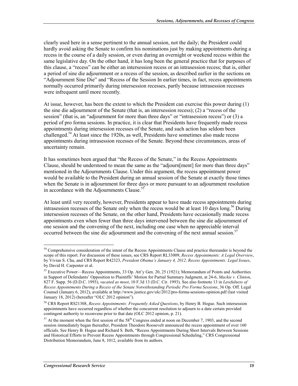clearly used here in a sense pertinent to the annual session, not the daily; the President could hardly avoid asking the Senate to confirm his nominations just by making appointments during a recess in the course of a daily session, or even during an overnight or weekend recess within the same legislative day. On the other hand, it has long been the general practice that for purposes of this clause, a "recess" can be either an intersession recess or an intrasession recess; that is, either a period of sine die adjournment or a recess of the session, as described earlier in the sections on "Adjournment Sine Die" and "Recess of the Session In earlier times, in fact, recess appointments normally occurred primarily during intersession recesses, partly because intrasession recesses were infrequent until more recently.

At issue, however, has been the extent to which the President can exercise this power during (1) the sine die adjournment of the Senate (that is, an intersession recess); (2) a "recess of the session" (that is, an "adjournment for more than three days" or "intrasession recess") or (3) a period of pro forma sessions. In practice, it is clear that Presidents have frequently made recess appointments during intersession recesses of the Senate, and such action has seldom been challenged.<sup>54</sup> At least since the 1920s, as well. Presidents have sometimes also made recess appointments during intrasession recesses of the Senate. Beyond these circumstances, areas of uncertainty remain.

It has sometimes been argued that "the Recess of the Senate," in the Recess Appointments Clause, should be understood to mean the same as the "adjourn[ment] for more than three days" mentioned in the Adjournments Clause. Under this argument, the recess appointment power would be available to the President during an annual session of the Senate at exactly those times when the Senate is in adjournment for three days or more pursuant to an adjournment resolution in accordance with the Adjournments Clause.<sup>55</sup>

At least until very recently, however, Presidents appear to have made recess appointments during intrasession recesses of the Senate only when the recess would be at least 10 days  $\log$ <sup>56</sup> During intersession recesses of the Senate, on the other hand, Presidents have occasionally made recess appointments even when fewer than three days intervened between the sine die adjournment of one session and the convening of the next, including one case when no appreciable interval occurred between the sine die adjournment and the convening of the next annual session.<sup>57</sup>

<sup>&</sup>lt;sup>54</sup> Comprehensive consideration of the intent of the Recess Appointments Clause and practice thereunder is beyond the scope of this report. For discussion of these issues, see CRS Report RL33009, *Recess Appointments: A Legal Overview*, by Vivian S. Chu, and CRS Report R42323, *President Obama's January 4, 2012, Recess Appointments: Legal Issues*, by David H. Carpenter et al.

<sup>55</sup> Executive Power—Recess Appointments, 33 Op. Att'y Gen. 20, 25 (1921); Memorandum of Points and Authorities in Support of Defendants' Opposition to Plaintiffs' Motion for Partial Summary Judgment, at 24-6, *Mackie v. Clinton*, 827 F. Supp. 56 (D.D.C. 1993), *vacated as moot*, 10 F.3d 13 (D.C. Cir. 1993). See also footnote 13 in *Lawfulness of Recess Appointments During a Recess of the Senate Notwithstanding Periodic Pro Forma Sessions*, 36 Op. Off. Legal Counsel (January 6, 2012), available at http://www.justice.gov/olc/2012/pro-forma-sessions-opinion.pdf (last visited January 18, 2012) (hereafter "OLC 2012 opinion").

<sup>56</sup> CRS Report RS21308, *Recess Appointments: Frequently Asked Questions*, by Henry B. Hogue. Such intersession appointments have occurred regardless of whether the concurrent resolution to adjourn to a date certain provided contingent authority to reconvene prior to that date (OLC 2012 opinion, p. 21).

<sup>&</sup>lt;sup>57</sup> At the moment when the first session of the 58<sup>th</sup> Congress ended at noon on December 7, 1903, and the second session immediately began thereafter, President Theodore Roosevelt announced the recess appointment of over 160 officials. See Henry B. Hogue and Richard S. Beth, "Recess Appointments During Short Intervals Between Sessions and Historical Efforts to Prevent Recess Appointments through Congressional Scheduling," CRS Congressional Distribution Memorandum, June 8, 1012, available from its authors.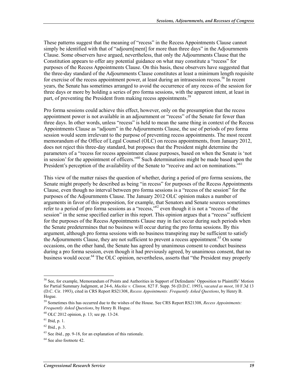These patterns suggest that the meaning of "recess" in the Recess Appointments Clause cannot simply be identified with that of "adjourn[ment] for more than three days" in the Adjournments Clause. Some observers have argued, nevertheless, that only the Adjournments Clause that the Constitution appears to offer any potential guidance on what may constitute a "recess" for purposes of the Recess Appointments Clause. On this basis, these observers have suggested that the three-day standard of the Adjournments Clause constitutes at least a minimum length requisite for exercise of the recess appointment power, at least during an intrasession recess.<sup>58</sup> In recent years, the Senate has sometimes arranged to avoid the occurrence of any recess of the session for three days or more by holding a series of pro forma sessions, with the apparent intent, at least in part, of preventing the President from making recess appointments.<sup>59</sup>

Pro forma sessions could achieve this effect, however, only on the presumption that the recess appointment power is not available in an adjournment or "recess" of the Senate for fewer than three days. In other words, unless "recess" is held to mean the same thing in context of the Recess Appointments Clause as "adjourn" in the Adjournments Clause, the use of periods of pro forma session would seem irrelevant to the purpose of preventing recess appointments. The most recent memorandum of the Office of Legal Counsel (OLC) on recess appointments, from January 2012, does not reject this three-day standard, but proposes that the President might determine the parameters of a "recess for recess appointment clause purposes, based on when the Senate is 'not  $\frac{1}{10}$  in session' for the appointment of officers."<sup>60</sup> Such determinations might be made based upon the President's perception of the availability of the Senate to "receive and act on nominations."<sup>61</sup>

This view of the matter raises the question of whether, during a period of pro forma sessions, the Senate might properly be described as being "in recess" for purposes of the Recess Appointments Clause, even though no interval between pro forma sessions is a "recess of the session" for the purposes of the Adjournments Clause. The January 2012 OLC opinion makes a number of arguments in favor of this proposition, for example, that Senators and Senate sources sometimes refer to a period of pro forma sessions as a "recess,"<sup>62</sup> even though it is not a "recess of the session" in the sense specified earlier in this report. This opinion argues that a "recess" sufficient for the purposes of the Recess Appointments Clause may in fact occur during such periods when the Senate predetermines that no business will occur during the pro forma sessions. By this argument, although pro forma sessions with no business transpiring may be sufficient to satisfy the Adjournments Clause, they are not sufficient to prevent a recess appointment.<sup>63</sup> On some occasions, on the other hand, the Senate has agreed by unanimous consent to conduct business during a pro forma session, even though it had previously agreed, by unanimous consent, that no business would occur.<sup>64</sup> The OLC opinion, nevertheless, asserts that "the President may properly

<u>.</u>

<sup>&</sup>lt;sup>58</sup> See, for example, Memorandum of Points and Authorities in Support of Defendants' Opposition to Plaintiffs' Motion for Partial Summary Judgment, at 24-6, *Mackie v. Clinton,* 827 F. Supp. 56 (D.D.C. 1993), *vacated as moot*, 10 F.3d 13 (D.C. Cir. 1993), cited in CRS Report RS21308, *Recess Appointments: Frequently Asked Questions*, by Henry B. Hogue.

<sup>59</sup> Sometimes this has occurred due to the wishes of the House. See CRS Report RS21308, *Recess Appointments: Frequently Asked Questions*, by Henry B. Hogue.

<sup>60</sup> OLC 2012 opinion, p. 13; see pp. 13-24.

 $<sup>61</sup>$  Ibid, p. 1.</sup>

<sup>62</sup> Ibid*.*, p. 3.

<sup>63</sup> See ibid*.*, pp. 9-18, for an explanation of this rationale.

<sup>64</sup> See also footnote 42.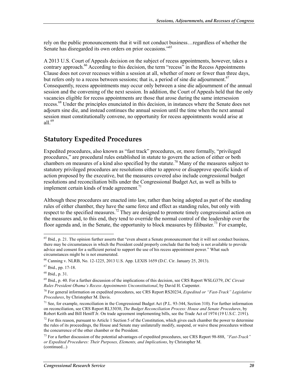rely on the public pronouncements that it will not conduct business…regardless of whether the Senate has disregarded its own orders on prior occasions."65

A 2013 U.S. Court of Appeals decision on the subject of recess appointments, however, takes a contrary approach.<sup>66</sup> According to this decision, the term "recess" in the Recess Appointments Clause does not cover recesses within a session at all, whether of more or fewer than three days, but refers only to a recess between sessions; that is, a period of sine die adjournment.<sup>67</sup> Consequently, recess appointments may occur only between a sine die adjournment of the annual session and the convening of the next session. In addition, the Court of Appeals held that the only vacancies eligible for recess appointments are those that arose during the same intersession recess.68 Under the principles enunciated in this decision, in instances where the Senate does not adjourn sine die, and instead continues the annual session until the time when the next annual session must constitutionally convene, no opportunity for recess appointments would arise at all  $^{69}$ 

#### **Statutory Expedited Procedures**

Expedited procedures, also known as "fast track" procedures, or, more formally, "privileged procedures," are procedural rules established in statute to govern the action of either or both chambers on measures of a kind also specified by the statute.<sup>70</sup> Many of the measures subject to statutory privileged procedures are resolutions either to approve or disapprove specific kinds of action proposed by the executive, but the measures covered also include congressional budget resolutions and reconciliation bills under the Congressional Budget Act, as well as bills to implement certain kinds of trade agreement.<sup>71</sup>

Although these procedures are enacted into law, rather than being adopted as part of the standing rules of either chamber, they have the same force and effect as standing rules, but only with respect to the specified measures.<sup>72</sup> They are designed to promote timely congressional action on the measures and, to this end, they tend to override the normal control of the leadership over the floor agenda and, in the Senate, the opportunity to block measures by filibuster.<sup>73</sup> For example,

<u>.</u>

<sup>&</sup>lt;sup>65</sup> Ibid., p. 21. The opinion further asserts that "even absent a Senate pronouncement that it will not conduct business, there may be circumstances in which the President could properly conclude that the body is not available to provide advice and consent for a sufficient period to support the use of his recess appointment power." What such circumstances might be is not enumerated.

<sup>66</sup> Canning v. NLRB, No. 12-1225, 2013 U.S. App. LEXIS 1659 (D.C. Cir. January 25, 2013).

<sup>67</sup> Ibid., pp. 17-18.

<sup>68</sup> Ibid., p. 31.

<sup>69</sup> Ibid., p. 40. For a further discussion of the implications of this decision, see CRS Report WSLG379, *DC Circuit Rules President Obama's Recess Appointments Unconstitutional*, by David H. Carpenter.

<sup>70</sup> For general information on expedited procedures, see CRS Report RS20234, *Expedited or "Fast-Track" Legislative Procedures*, by Christopher M. Davis.

 $71$  See, for example, reconciliation in the Congressional Budget Act (P.L. 93-344, Section 310). For further information on reconciliation, see CRS Report RL33030, *The Budget Reconciliation Process: House and Senate Procedures*, by Robert Keith and Bill Heniff  $\hat{J}r$ . On trade agreement implementing bills, see the Trade Act of 1974 (19 U.S.C. 2191).

 $<sup>72</sup>$  For this reason, pursuant to Article 1 Section 5 of the Constitution, which gives each chamber the power to determine</sup> the rules of its proceedings, the House and Senate may unilaterally modify, suspend, or waive these procedures without the concurrence of the other chamber or the President.

<sup>73</sup> For a further discussion of the potential advantages of expedited procedures, see CRS Report 98-888, *"Fast-Track" or Expedited Procedures: Their Purposes, Elements, and Implications*, by Christopher M. (continued...)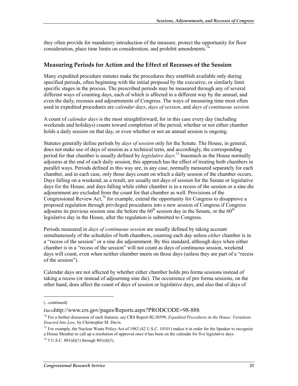they often provide for mandatory introduction of the measure, protect the opportunity for floor consideration, place time limits on consideration, and prohibit amendments.<sup>7</sup>

#### **Measuring Periods for Action and the Effect of Recesses of the Session**

Many expedited procedure statutes make the procedures they establish available only during specified periods, often beginning with the initial proposal by the executive, or similarly limit specific stages in the process. The prescribed periods may be measured through any of several different ways of counting days, each of which is affected in a different way by the annual, and even the daily, recesses and adjournments of Congress. The ways of measuring time most often used in expedited procedures are *calendar days*, *days of session*, and *days of continuous session*.

A count of *calendar days* is the most straightforward, for in this case every day (including weekends and holidays) counts toward completion of the period, whether or not either chamber holds a daily session on that day, or even whether or not an annual session is ongoing.

Statutes generally define periods by *days of session* only for the Senate. The House, in general, does not make use of days of session as a technical term, and accordingly, the corresponding period for that chamber is usually defined by *legislative days*. 75 Inasmuch as the House normally adjourns at the end of each daily session, this approach has the effect of treating both chambers in parallel ways. Periods defined in this way are, in any case, normally measured separately for each chamber, and in each case, only those days count on which a daily session of the chamber occurs. Days falling on a weekend, as a result, are usually not days of session for the Senate or legislative days for the House, and days falling while either chamber is in a recess of the session or a sine die adjournment are excluded from the count for that chamber as well. Provisions of the Congressional Review Act,<sup>76</sup> for example, extend the opportunity for Congress to disapprove a proposed regulation through privileged procedures into a new session of Congress if Congress adjourns its previous session sine die before the  $60<sup>th</sup>$  session day in the Senate, or the  $60<sup>th</sup>$ legislative day in the House, after the regulation is submitted to Congress.

Periods measured in *days of continuous session* are usually defined by taking account simultaneously of the schedules of both chambers, counting each day unless *either* chamber is in a "recess of the session" or a sine die adjournment. By this standard, although days when either chamber is in a "recess of the session" will not count as days of continuous session, weekend days will count, even when neither chamber meets on those days (unless they are part of a "recess of the session").

Calendar days are not affected by whether either chamber holds pro forma sessions instead of taking a recess (or instead of adjourning sine die). The occurrence of pro forma sessions, on the other hand, does affect the count of days of session or legislative days, and also that of days of

 $\overline{a}$ 

<sup>(...</sup>continued)

Davishttp://www.crs.gov/pages/Reports.aspx?PRODCODE=98-888.

<sup>74</sup> For a further discussion of such features, see CRS Report RL30599, *Expedited Procedures in the House: Variations Enacted Into Law*, by Christopher M. Davis.

<sup>&</sup>lt;sup>75</sup> For example, the Nuclear Waste Policy Act of 1982 (42 U.S.C. 10101) makes it in order for the Speaker to recognize a House Member to call up a resolution of approval once it has been on the calendar for five legislative days.

 $^{76}$  5 U.S.C. 801(d)(1) through 801(d)(3).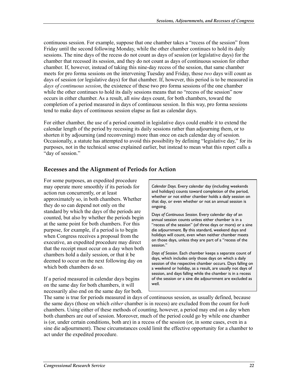continuous session. For example, suppose that one chamber takes a "recess of the session" from Friday until the second following Monday, while the other chamber continues to hold its daily sessions. The nine days of the recess do not count as days of session (or legislative days) for the chamber that recessed its session, and they do not count as days of continuous session for either chamber. If, however, instead of taking this nine-day recess of the session, that same chamber meets for pro forma sessions on the intervening Tuesday and Friday, those *two* days will count as days of session (or legislative days) for that chamber. If, however, this period is to be measured in *days of continuous session*, the existence of these two pro forma sessions of the one chamber while the other continues to hold its daily sessions means that no "recess of the session" now occurs in either chamber. As a result, all *nine* days count, for both chambers, toward the completion of a period measured in days of continuous session. In this way, pro forma sessions tend to make days of continuous session elapse as fast as calendar days.

For either chamber, the use of a period counted in legislative days could enable it to extend the calendar length of the period by recessing its daily sessions rather than adjourning them, or to shorten it by adjourning (and reconvening) more than once on each calendar day of session. Occasionally, a statute has attempted to avoid this possibility by defining "legislative day," for its purposes, not in the technical sense explained earlier, but instead to mean what this report calls a "day of session."

#### **Recesses and the Alignment of Periods for Action**

For some purposes, an expedited procedure may operate more smoothly if its periods for action run concurrently, or at least approximately so, in both chambers. Whether they do so can depend not only on the standard by which the days of the periods are counted, but also by whether the periods begin at the same point for both chambers. For this purpose, for example, if a period is to begin when Congress receives a proposal from the executive, an expedited procedure may direct that the receipt must occur on a day when both chambers hold a daily session, or that it be deemed to occur on the next following day on which both chambers do so.

If a period measured in calendar days begins on the same day for both chambers, it will necessarily also end on the same day for both.

*Calendar Days.* Every calendar day (including weekends and holidays) counts toward completion of the period, whether or not either chamber holds a daily session on that day, or even whether or not an annual session is ongoing.

D*ays of Continuous Session.* Every calendar day of an annual session counts unless either chamber is in a "recess of the session" (of three days or more) or a sine die adjournment. By this standard, weekend days and holidays will count, even when neither chamber meets on those days, unless they are part of a "recess of the session."

*Days of Session*. Each chamber keeps a separate count of days, which includes only those days on which a daily session of the respective chamber occurs. Days falling on a weekend or holiday, as a result, are usually not days of session, and days falling while the chamber is in a recess of the session or a sine die adjournment are excluded as well.

The same is true for periods measured in days of continuous session, as usually defined, because the same days (those on which *either* chamber is in recess) are excluded from the count for *both* chambers. Using either of these methods of counting, however, a period may end on a day when both chambers are out of session. Moreover, much of the period could go by while one chamber is (or, under certain conditions, both are) in a recess of the session (or, in some cases, even in a sine die adjournment). These circumstances could limit the effective opportunity for a chamber to act under the expedited procedure.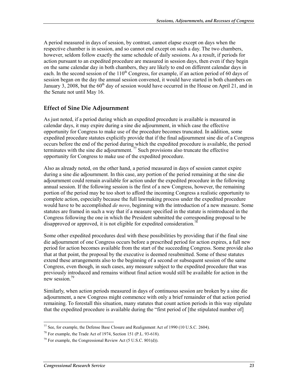A period measured in days of session, by contrast, cannot elapse except on days when the respective chamber is in session, and so cannot end except on such a day. The two chambers, however, seldom follow exactly the same schedule of daily sessions. As a result, if periods for action pursuant to an expedited procedure are measured in session days, then even if they begin on the same calendar day in both chambers, they are likely to end on different calendar days in each. In the second session of the  $110<sup>th</sup>$  Congress, for example, if an action period of 60 days of session began on the day the annual session convened, it would have started in both chambers on January 3, 2008, but the  $60<sup>th</sup>$  day of session would have occurred in the House on April 21, and in the Senate not until May 16.

#### **Effect of Sine Die Adjournment**

As just noted, if a period during which an expedited procedure is available is measured in calendar days, it may expire during a sine die adjournment, in which case the effective opportunity for Congress to make use of the procedure becomes truncated. In addition, some expedited procedure statutes explicitly provide that if the final adjournment sine die of a Congress occurs before the end of the period during which the expedited procedure is available, the period terminates with the sine die adjournment.<sup>77</sup> Such provisions also truncate the effective opportunity for Congress to make use of the expedited procedure.

Also as already noted, on the other hand, a period measured in days of session cannot expire during a sine die adjournment. In this case, any portion of the period remaining at the sine die adjournment could remain available for action under the expedited procedure in the following annual session. If the following session is the first of a new Congress, however, the remaining portion of the period may be too short to afford the incoming Congress a realistic opportunity to complete action, especially because the full lawmaking process under the expedited procedure would have to be accomplished *de novo*, beginning with the introduction of a new measure. Some statutes are framed in such a way that if a measure specified in the statute is reintroduced in the Congress following the one in which the President submitted the corresponding proposal to be disapproved or approved, it is not eligible for expedited consideration.

Some other expedited procedures deal with these possibilities by providing that if the final sine die adjournment of one Congress occurs before a prescribed period for action expires, a full new period for action becomes available from the start of the succeeding Congress. Some provide also that at that point, the proposal by the executive is deemed resubmitted. Some of these statutes extend these arrangements also to the beginning of a second or subsequent session of the same Congress, even though, in such cases, any measure subject to the expedited procedure that was previously introduced and remains without final action would still be available for action in the new session.<sup>79</sup>

Similarly, when action periods measured in days of continuous session are broken by a sine die adjournment, a new Congress might commence with only a brief remainder of that action period remaining. To forestall this situation, many statutes that count action periods in this way stipulate that the expedited procedure is available during the "first period of [the stipulated number of]

<sup>1</sup> <sup>77</sup> See, for example, the Defense Base Closure and Realignment Act of 1990 (10 U.S.C. 2604).

 $^{78}$  For example, the Trade Act of 1974, Section 151 (P.L. 93-618).

 $79$  For example, the Congressional Review Act (5 U.S.C. 801(d)).